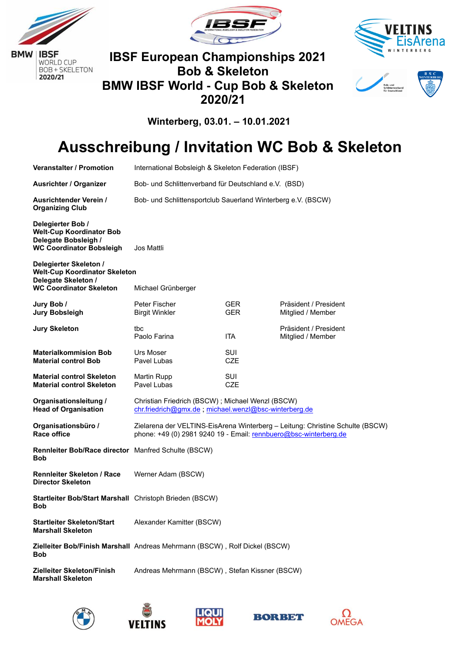







**Winterberg, 03.01. – 10.01.2021**

# **Ausschreibung / Invitation WC Bob & Skeleton**

| <b>Veranstalter / Promotion</b>                                                                                         | International Bobsleigh & Skeleton Federation (IBSF)                                                                                              |                          |                                            |  |
|-------------------------------------------------------------------------------------------------------------------------|---------------------------------------------------------------------------------------------------------------------------------------------------|--------------------------|--------------------------------------------|--|
| Ausrichter / Organizer                                                                                                  | Bob- und Schlittenverband für Deutschland e.V. (BSD)                                                                                              |                          |                                            |  |
| <b>Ausrichtender Verein /</b><br><b>Organizing Club</b>                                                                 | Bob- und Schlittensportclub Sauerland Winterberg e.V. (BSCW)                                                                                      |                          |                                            |  |
| Delegierter Bob /<br><b>Welt-Cup Koordinator Bob</b><br>Delegate Bobsleigh /<br><b>WC Coordinator Bobsleigh</b>         | Jos Mattli                                                                                                                                        |                          |                                            |  |
| Delegierter Skeleton /<br><b>Welt-Cup Koordinator Skeleton</b><br>Delegate Skeleton /<br><b>WC Coordinator Skeleton</b> | Michael Grünberger                                                                                                                                |                          |                                            |  |
|                                                                                                                         |                                                                                                                                                   |                          |                                            |  |
| Jury Bob /<br><b>Jury Bobsleigh</b>                                                                                     | Peter Fischer<br><b>Birgit Winkler</b>                                                                                                            | GER.<br><b>GER</b>       | Präsident / President<br>Mitglied / Member |  |
| <b>Jury Skeleton</b>                                                                                                    | tbc<br>Paolo Farina                                                                                                                               | <b>ITA</b>               | Präsident / President<br>Mitglied / Member |  |
| <b>Materialkommision Bob</b><br><b>Material control Bob</b>                                                             | <b>Urs Moser</b><br>Pavel Lubas                                                                                                                   | <b>SUI</b><br><b>CZE</b> |                                            |  |
| <b>Material control Skeleton</b><br><b>Material control Skeleton</b>                                                    | Martin Rupp<br>Pavel Lubas                                                                                                                        | SUI<br><b>CZE</b>        |                                            |  |
| Organisationsleitung /<br><b>Head of Organisation</b>                                                                   | Christian Friedrich (BSCW); Michael Wenzl (BSCW)<br>chr.friedrich@gmx.de; michael.wenzl@bsc-winterberg.de                                         |                          |                                            |  |
| Organisationsbüro /<br>Race office                                                                                      | Zielarena der VELTINS-EisArena Winterberg - Leitung: Christine Schulte (BSCW)<br>phone: +49 (0) 2981 9240 19 - Email: rennbuero@bsc-winterberg.de |                          |                                            |  |
| Rennleiter Bob/Race director Manfred Schulte (BSCW)<br>Bob                                                              |                                                                                                                                                   |                          |                                            |  |
| <b>Rennleiter Skeleton / Race</b><br><b>Director Skeleton</b>                                                           | Werner Adam (BSCW)                                                                                                                                |                          |                                            |  |
| Startleiter Bob/Start Marshall Christoph Brieden (BSCW)<br><b>Bob</b>                                                   |                                                                                                                                                   |                          |                                            |  |
| <b>Startleiter Skeleton/Start</b><br><b>Marshall Skeleton</b>                                                           | Alexander Kamitter (BSCW)                                                                                                                         |                          |                                            |  |
| <b>Bob</b>                                                                                                              | Zielleiter Bob/Finish Marshall Andreas Mehrmann (BSCW), Rolf Dickel (BSCW)                                                                        |                          |                                            |  |
| Zielleiter Skeleton/Finish<br><b>Marshall Skeleton</b>                                                                  | Andreas Mehrmann (BSCW), Stefan Kissner (BSCW)                                                                                                    |                          |                                            |  |









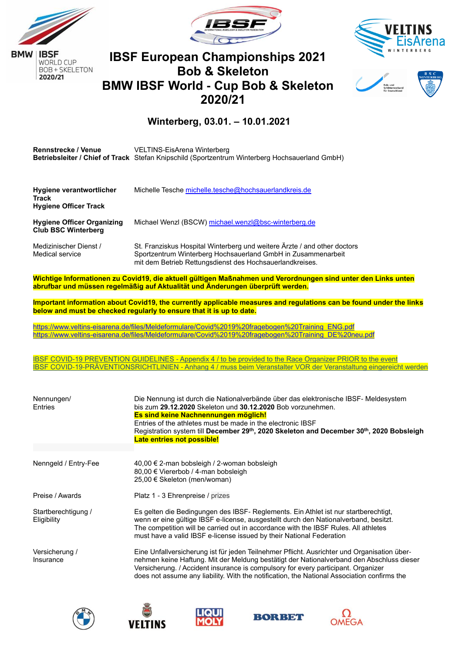

2020/21





## **IBSF European Championships 2021 Bob & Skeleton BMW IBSF World - Cup Bob & Skeleton 2020/21**



#### **Winterberg, 03.01. – 10.01.2021**

| <b>Rennstrecke / Venue</b> | VELTINS-EisArena Winterberg                                                                           |  |
|----------------------------|-------------------------------------------------------------------------------------------------------|--|
|                            | <b>Betriebsleiter / Chief of Track</b> Stefan Knipschild (Sportzentrum Winterberg Hochsauerland GmbH) |  |
|                            |                                                                                                       |  |
|                            |                                                                                                       |  |

| <b>Hygiene verantwortlicher</b><br><b>Track</b><br><b>Hygiene Officer Track</b> | Michelle Tesche michelle.tesche@hochsauerlandkreis.de                                                                                                                                                |
|---------------------------------------------------------------------------------|------------------------------------------------------------------------------------------------------------------------------------------------------------------------------------------------------|
| <b>Hygiene Officer Organizing</b><br><b>Club BSC Winterberg</b>                 | Michael Wenzl (BSCW) michael.wenzl@bsc-winterberg.de                                                                                                                                                 |
| Medizinischer Dienst /<br>Medical service                                       | St. Franziskus Hospital Winterberg und weitere Ärzte / and other doctors<br>Sportzentrum Winterberg Hochsauerland GmbH in Zusammenarbeit<br>mit dem Betrieb Rettungsdienst des Hochsauerlandkreises. |

**Wichtige Informationen zu Covid19, die aktuell gültigen Maßnahmen und Verordnungen sind unter den Links unten abrufbar und müssen regelmäßig auf Aktualität und Änderungen überprüft werden.**

**Important information about Covid19, the currently applicable measures and regulations can be found under the links below and must be checked regularly to ensure that it is up to date.**

[https://www.veltins-eisarena.de/files/Meldeformulare/Covid%2019%20fragebogen%20Training\\_ENG.pdf](https://www.veltins-eisarena.de/files/Meldeformulare/Covid%2019%20fragebogen%20Training_ENG.pdf) https://www.veltins-eisarena.de/files/Meldeformulare/Covid%2019%20fragebogen%20Training\_DE%20neu.pdf

IBSF COVID-19 PREVENTION GUIDELINES - [Appendix 4 / to be provided to the Race Organizer PRIOR to the event](https://www.ibsf.org/images/federation/COVID_19/IBSF_COVID-19-prevention_guidelines_Appendix_4_29102020.pdf) IBSF COVID-19-PRÄVENTIONSRICHTLINIEN - [Anhang 4 / muss beim Veranstalter VOR der Veranstaltung eingereicht werden](https://www.ibsf.org/images/federation/COVID_19/IBSF_COVID-19-prevention_guidelines_Appendix_4_D_29102020.pdf)

| Nennungen/<br><b>Entries</b>       | Die Nennung ist durch die Nationalverbände über das elektronische IBSF- Meldesystem<br>bis zum 29.12.2020 Skeleton und 30.12.2020 Bob vorzunehmen.<br>Es sind keine Nachnennungen möglich!<br>Entries of the athletes must be made in the electronic IBSF<br>Registration system till December 29 <sup>th</sup> , 2020 Skeleton and December 30 <sup>th</sup> , 2020 Bobsleigh<br><b>Late entries not possible!</b> |
|------------------------------------|---------------------------------------------------------------------------------------------------------------------------------------------------------------------------------------------------------------------------------------------------------------------------------------------------------------------------------------------------------------------------------------------------------------------|
| Nenngeld / Entry-Fee               | 40,00 € 2-man bobsleigh / 2-woman bobsleigh<br>80,00 € Viererbob / 4-man bobsleigh<br>25,00 € Skeleton (men/woman)                                                                                                                                                                                                                                                                                                  |
| Preise / Awards                    | Platz 1 - 3 Ehrenpreise / prizes                                                                                                                                                                                                                                                                                                                                                                                    |
| Startberechtigung /<br>Eligibility | Es gelten die Bedingungen des IBSF- Reglements. Ein Athlet ist nur startberechtigt,<br>wenn er eine gültige IBSF e-license, ausgestellt durch den Nationalverband, besitzt.<br>The competition will be carried out in accordance with the IBSF Rules. All athletes<br>must have a valid IBSF e-license issued by their National Federation                                                                          |
| Versicherung /<br>Insurance        | Eine Unfallversicherung ist für jeden Teilnehmer Pflicht. Ausrichter und Organisation über-<br>nehmen keine Haftung. Mit der Meldung bestätigt der Nationalverband den Abschluss dieser<br>Versicherung. / Accident insurance is compulsory for every participant. Organizer<br>does not assume any liability. With the notification, the National Association confirms the                                         |









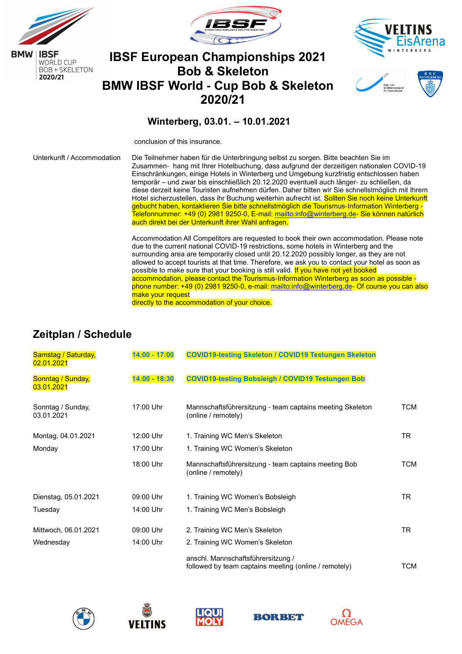









conclusion of this insurance.

Unterkunft / Accommodation Die Teilnehmer haben für die Unterbringung selbst zu sorgen. Bitte beachten Sie im Zusammen- hang mit Ihrer Hotelbuchung, dass aufgrund der derzeitigen nationalen COVID-19 Einschränkungen, einige Hotels in Winterberg und Umgebung kurzfristig entschlossen haben temporär – und zwar bis einschließlich 20.12.2020 eventuell auch länger- zu schließen, da diese derzeit keine Touristen aufnehmen dürfen. Daher bitten wir Sie schnellstmöglich mit Ihrem Hotel sicherzustellen, dass ihr Buchung weiterhin aufrecht ist. Sollten Sie noch keine Unterkunft gebucht haben, kontaktieren Sie bitte schnellstmöglich die Tourismus-Information Winterberg - Telefonnummer: +49 (0) 2981 9250-0, E-mail: [mailto:info@winterberg.de-](mailto:info@winterberg.de) Sie können natürlich auch direkt bei der Unterkunft ihrer Wahl anfragen.

> Accommodation All Competitors are requested to book their own accommodation. Please note due to the current national COVID-19 restrictions, some hotels in Winterberg and the surrounding area are temporarily closed until 20.12.2020 possibly longer, as they are not allowed to accept tourists at that time. Therefore, we ask you to contact your hotel as soon as possible to make sure that your booking is still valid. If you have not yet booked accommodation, please contact the Tourismus-Information Winterberg as soon as possible phone number: +49 (0) 2981 9250-0, e-mail: [mailto:info@winterberg.de-](mailto:info@winterberg.de) Of course you can also make your request

directly to the accommodation of your choice.

#### **Zeitplan / Schedule**

| Samstag / Saturday,<br>02.01.2021 | $14:00 - 17:00$ | <b>COVID19-testing Skeleton / COVID19 Testungen Skeleton</b>                                |            |
|-----------------------------------|-----------------|---------------------------------------------------------------------------------------------|------------|
| Sonntag / Sunday,<br>03.01.2021   | $14:00 - 18:30$ | <b>COVID19-testing Bobsleigh / COVID19 Testungen Bob</b>                                    |            |
| Sonntag / Sunday,<br>03.01.2021   | 17:00 Uhr       | Mannschaftsführersitzung - team captains meeting Skeleton<br>(online / remotely)            | TCM        |
| Montag, 04.01.2021                | 12:00 Uhr       | 1. Training WC Men's Skeleton                                                               | TR.        |
| Monday                            | 17:00 Uhr       | 1. Training WC Women's Skeleton                                                             |            |
|                                   | 18:00 Uhr       | Mannschaftsführersitzung - team captains meeting Bob<br>(online / remotely)                 | <b>TCM</b> |
| Dienstag, 05.01.2021              | 09:00 Uhr       | 1. Training WC Women's Bobsleigh                                                            | TR.        |
| Tuesday                           | 14:00 Uhr       | 1. Training WC Men's Bobsleigh                                                              |            |
| Mittwoch, 06.01.2021              | 09:00 Uhr       | 2. Training WC Men's Skeleton                                                               | TR.        |
| Wednesday                         | 14:00 Uhr       | 2. Training WC Women's Skeleton                                                             |            |
|                                   |                 | anschl. Mannschaftsführersitzung /<br>followed by team captains meeting (online / remotely) | TCM        |









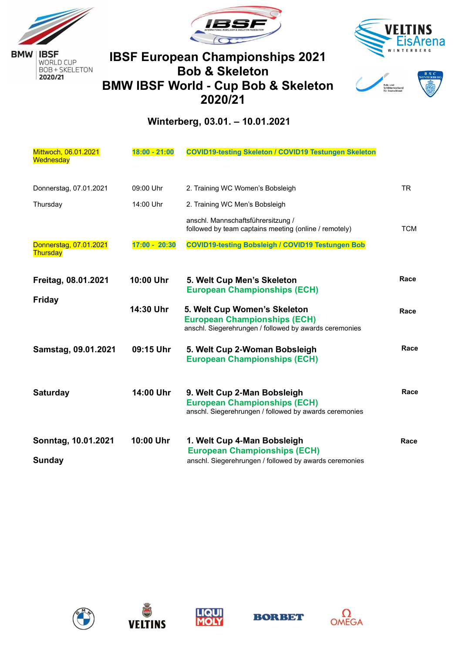









#### **Winterberg, 03.01. – 10.01.2021**

| Mittwoch, 06.01.2021<br>Wednesday    | $18:00 - 21:00$ | <b>COVID19-testing Skeleton / COVID19 Testungen Skeleton</b>                                                                  |            |
|--------------------------------------|-----------------|-------------------------------------------------------------------------------------------------------------------------------|------------|
| Donnerstag, 07.01.2021               | 09:00 Uhr       | 2. Training WC Women's Bobsleigh                                                                                              | <b>TR</b>  |
| Thursday                             | 14:00 Uhr       | 2. Training WC Men's Bobsleigh                                                                                                |            |
|                                      |                 | anschl. Mannschaftsführersitzung /<br>followed by team captains meeting (online / remotely)                                   | <b>TCM</b> |
| Donnerstag, 07.01.2021<br>Thursday   | $17:00 - 20:30$ | <b>COVID19-testing Bobsleigh / COVID19 Testungen Bob</b>                                                                      |            |
| Freitag, 08.01.2021<br><b>Friday</b> | 10:00 Uhr       | 5. Welt Cup Men's Skeleton<br><b>European Championships (ECH)</b>                                                             | Race       |
|                                      | 14:30 Uhr       | 5. Welt Cup Women's Skeleton<br><b>European Championships (ECH)</b><br>anschl. Siegerehrungen / followed by awards ceremonies | Race       |
| Samstag, 09.01.2021                  | 09:15 Uhr       | 5. Welt Cup 2-Woman Bobsleigh<br><b>European Championships (ECH)</b>                                                          | Race       |
| <b>Saturday</b>                      | 14:00 Uhr       | 9. Welt Cup 2-Man Bobsleigh<br><b>European Championships (ECH)</b><br>anschl. Siegerehrungen / followed by awards ceremonies  | Race       |
| Sonntag, 10.01.2021<br><b>Sunday</b> | 10:00 Uhr       | 1. Welt Cup 4-Man Bobsleigh<br><b>European Championships (ECH)</b><br>anschl. Siegerehrungen / followed by awards ceremonies  | Race       |